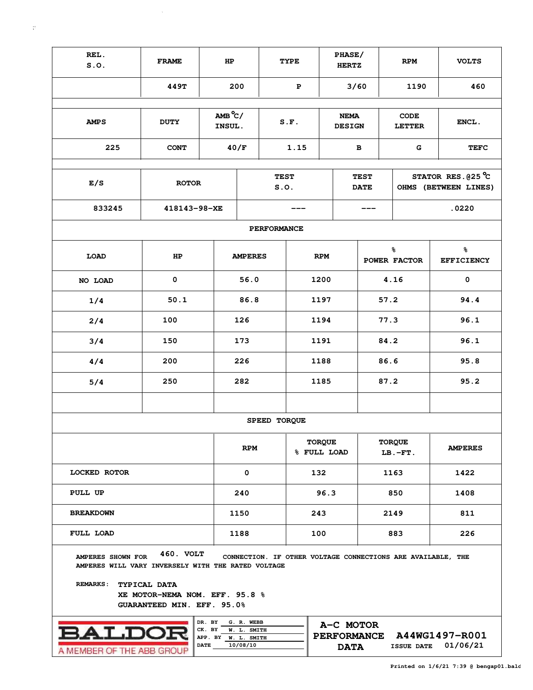| REL.<br>S.0.                                                                                     | <b>FRAME</b>                                                                     | HP                                                     |                                       |                     | <b>TYPE</b> |                              | PHASE/<br><b>HERTZ</b>                                              |      | <b>RPM</b>                   |                                                             |                            | <b>VOLTS</b>                                        |  |  |
|--------------------------------------------------------------------------------------------------|----------------------------------------------------------------------------------|--------------------------------------------------------|---------------------------------------|---------------------|-------------|------------------------------|---------------------------------------------------------------------|------|------------------------------|-------------------------------------------------------------|----------------------------|-----------------------------------------------------|--|--|
|                                                                                                  | 449T                                                                             |                                                        | 200                                   |                     | P           |                              | 3/60                                                                |      |                              | 1190                                                        |                            | 460                                                 |  |  |
|                                                                                                  |                                                                                  |                                                        |                                       |                     |             |                              |                                                                     |      |                              |                                                             |                            |                                                     |  |  |
| <b>AMPS</b>                                                                                      | $AMB^oC/$<br>INSUL.                                                              |                                                        |                                       | S.F.                |             | <b>NEMA</b><br><b>DESIGN</b> |                                                                     |      | <b>CODE</b><br><b>LETTER</b> |                                                             | ENCL.                      |                                                     |  |  |
| 225                                                                                              |                                                                                  | 40/F                                                   |                                       | 1.15                |             |                              | в                                                                   | G    |                              |                                                             | <b>TEFC</b>                |                                                     |  |  |
|                                                                                                  |                                                                                  |                                                        |                                       |                     |             |                              |                                                                     |      |                              |                                                             |                            |                                                     |  |  |
| E/S                                                                                              | <b>ROTOR</b>                                                                     |                                                        |                                       | <b>TEST</b><br>S.0. |             |                              | <b>TEST</b><br><b>DATE</b>                                          |      |                              |                                                             |                            | STATOR RES. $025^{\circ}$ C<br>OHMS (BETWEEN LINES) |  |  |
| 833245                                                                                           | 418143-98-XE                                                                     |                                                        |                                       |                     |             |                              |                                                                     |      |                              |                                                             | .0220                      |                                                     |  |  |
|                                                                                                  |                                                                                  |                                                        |                                       | <b>PERFORMANCE</b>  |             |                              |                                                                     |      |                              |                                                             |                            |                                                     |  |  |
| <b>LOAD</b>                                                                                      | HP                                                                               |                                                        | <b>AMPERES</b>                        |                     |             | <b>RPM</b>                   |                                                                     |      |                              | ቈ<br>POWER FACTOR                                           |                            | နွ<br><b>EFFICIENCY</b>                             |  |  |
| NO LOAD                                                                                          |                                                                                  | 56.0                                                   |                                       | 1200                |             |                              |                                                                     | 4.16 |                              | $\mathbf 0$                                                 |                            |                                                     |  |  |
| 1/4                                                                                              |                                                                                  | 86.8                                                   |                                       | 1197                |             |                              |                                                                     | 57.2 |                              |                                                             | 94.4                       |                                                     |  |  |
| 2/4                                                                                              |                                                                                  | 126                                                    |                                       | 1194                |             |                              |                                                                     | 77.3 |                              |                                                             | 96.1                       |                                                     |  |  |
| 3/4                                                                                              |                                                                                  | 173                                                    |                                       | 1191                |             |                              |                                                                     | 84.2 |                              |                                                             | 96.1                       |                                                     |  |  |
| 4/4                                                                                              |                                                                                  | 226                                                    |                                       |                     | 1188        |                              |                                                                     | 86.6 |                              |                                                             | 95.8                       |                                                     |  |  |
| 5/4                                                                                              |                                                                                  | 282                                                    |                                       |                     | 1185        |                              |                                                                     | 87.2 |                              |                                                             | 95.2                       |                                                     |  |  |
|                                                                                                  |                                                                                  |                                                        |                                       |                     |             |                              |                                                                     |      |                              |                                                             |                            |                                                     |  |  |
|                                                                                                  |                                                                                  |                                                        |                                       | SPEED TORQUE        |             |                              |                                                                     |      |                              |                                                             |                            |                                                     |  |  |
|                                                                                                  |                                                                                  |                                                        | <b>RPM</b>                            |                     |             | <b>TORQUE</b><br>% FULL LOAD |                                                                     |      | <b>TORQUE</b><br>$LB.-FT.$   |                                                             |                            | <b>AMPERES</b>                                      |  |  |
| <b>LOCKED ROTOR</b>                                                                              |                                                                                  | 0                                                      |                                       | 132                 |             |                              |                                                                     |      | 1163                         |                                                             | 1422                       |                                                     |  |  |
| PULL UP                                                                                          |                                                                                  | 240                                                    |                                       | 96.3                |             |                              |                                                                     | 850  |                              |                                                             | 1408                       |                                                     |  |  |
| <b>BREAKDOWN</b>                                                                                 |                                                                                  |                                                        | 1150                                  |                     |             | 243                          |                                                                     |      | 2149                         | 811                                                         |                            |                                                     |  |  |
| FULL LOAD                                                                                        |                                                                                  |                                                        | 1188                                  |                     |             | 100                          |                                                                     |      |                              | 883                                                         |                            | 226                                                 |  |  |
| AMPERES SHOWN FOR<br>AMPERES WILL VARY INVERSELY WITH THE RATED VOLTAGE<br>REMARKS: TYPICAL DATA | 460. VOLT<br>XE MOTOR-NEMA NOM. EFF. 95.8 %<br><b>GUARANTEED MIN. EFF. 95.0%</b> |                                                        |                                       |                     |             |                              |                                                                     |      |                              | CONNECTION. IF OTHER VOLTAGE CONNECTIONS ARE AVAILABLE, THE |                            |                                                     |  |  |
| <b>ALD</b><br>A MEMBER OF THE ARR GROL                                                           |                                                                                  | DR. BY<br>CK. BY<br>APP. BY W. L. SMITH<br><b>DATE</b> | G. R. WEBB<br>W. L. SMITH<br>10/08/10 |                     |             |                              | A-C MOTOR<br><b>PERFORMANCE</b><br><b>ISSUE DATE</b><br><b>DATA</b> |      |                              |                                                             | A44WG1497-R001<br>01/06/21 |                                                     |  |  |

 $\sim 10^7$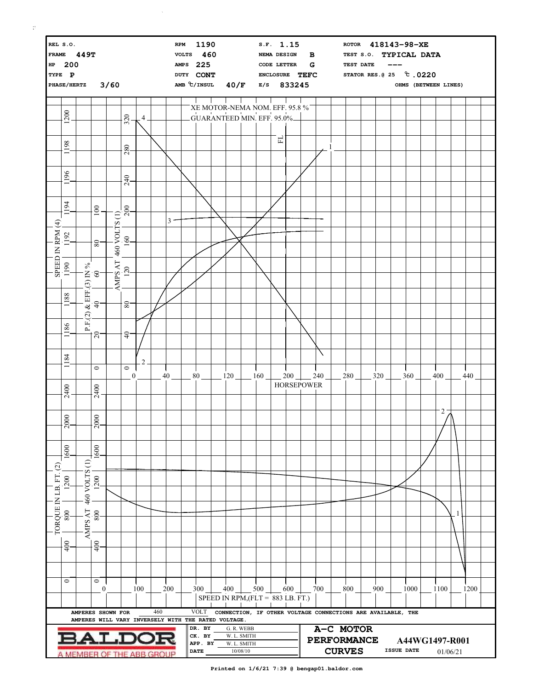| REL S.O.<br><b>RPM</b><br>FRAME 449T<br>HP 200<br><b>AMPS</b><br>TYPE P<br>3/60<br>PHASE/HERTZ |              |                                                                          |                              |               |                             |                |     | <b>VOLTS</b> | 1190<br>460<br>225<br>DUTY CONT<br>AMB $\degree$ C/INSUL<br>40/F |                  |  |                                                               |             | S.F. 1.15<br>NEMA DESIGN<br>в<br>G<br>CODE LETTER<br>ENCLOSURE TEFC<br>833245<br>E/S |        |     |                   |     |  | 418143-98-XE<br><b>ROTOR</b><br>TYPICAL DATA<br>TEST S.O.<br>TEST DATE<br>STATOR RES. @ 25 °C .0220<br>OHMS (BETWEEN LINES) |  |     |            |      |  |                            |              |      |  |
|------------------------------------------------------------------------------------------------|--------------|--------------------------------------------------------------------------|------------------------------|---------------|-----------------------------|----------------|-----|--------------|------------------------------------------------------------------|------------------|--|---------------------------------------------------------------|-------------|--------------------------------------------------------------------------------------|--------|-----|-------------------|-----|--|-----------------------------------------------------------------------------------------------------------------------------|--|-----|------------|------|--|----------------------------|--------------|------|--|
|                                                                                                |              |                                                                          |                              |               |                             |                |     |              |                                                                  |                  |  |                                                               |             |                                                                                      |        |     |                   |     |  |                                                                                                                             |  |     |            |      |  |                            |              |      |  |
|                                                                                                | 1200         |                                                                          |                              |               | 320                         | 4              |     |              |                                                                  |                  |  | XE MOTOR-NEMA NOM. EFF. 95.8 %<br>GUARANTEED MIN. EFF. 95.0%- |             |                                                                                      |        |     |                   |     |  |                                                                                                                             |  |     |            |      |  |                            |              |      |  |
|                                                                                                |              |                                                                          |                              |               |                             |                |     |              |                                                                  |                  |  |                                                               |             |                                                                                      |        |     |                   |     |  |                                                                                                                             |  |     |            |      |  |                            |              |      |  |
|                                                                                                | 1198         |                                                                          |                              |               | 280                         |                |     |              |                                                                  |                  |  |                                                               |             |                                                                                      | 모      |     |                   |     |  |                                                                                                                             |  |     |            |      |  |                            |              |      |  |
|                                                                                                |              |                                                                          |                              |               |                             |                |     |              |                                                                  |                  |  |                                                               |             |                                                                                      |        |     |                   |     |  |                                                                                                                             |  |     |            |      |  |                            |              |      |  |
|                                                                                                | 96<br>$\Box$ |                                                                          |                              |               | 240                         |                |     |              |                                                                  |                  |  |                                                               |             |                                                                                      |        |     |                   |     |  |                                                                                                                             |  |     |            |      |  |                            |              |      |  |
|                                                                                                |              |                                                                          |                              |               |                             |                |     |              |                                                                  |                  |  |                                                               |             |                                                                                      |        |     |                   |     |  |                                                                                                                             |  |     |            |      |  |                            |              |      |  |
|                                                                                                | 1194         |                                                                          | 100                          |               | 200                         |                |     |              |                                                                  |                  |  |                                                               |             |                                                                                      |        |     |                   |     |  |                                                                                                                             |  |     |            |      |  |                            |              |      |  |
|                                                                                                |              |                                                                          |                              |               |                             |                |     | 3            |                                                                  |                  |  |                                                               |             |                                                                                      |        |     |                   |     |  |                                                                                                                             |  |     |            |      |  |                            |              |      |  |
|                                                                                                | 1192         |                                                                          | 80                           | 460 VOLTS (1) | 160                         |                |     |              |                                                                  |                  |  |                                                               |             |                                                                                      |        |     |                   |     |  |                                                                                                                             |  |     |            |      |  |                            |              |      |  |
| SPEED IN RPM (4)                                                                               |              |                                                                          |                              |               |                             |                |     |              |                                                                  |                  |  |                                                               |             |                                                                                      |        |     |                   |     |  |                                                                                                                             |  |     |            |      |  |                            |              |      |  |
|                                                                                                | 1190         |                                                                          | $40$<br>$40$<br>$60$<br>$60$ | AMPS AT       | 120                         |                |     |              |                                                                  |                  |  |                                                               |             |                                                                                      |        |     |                   |     |  |                                                                                                                             |  |     |            |      |  |                            |              |      |  |
|                                                                                                |              |                                                                          |                              |               |                             |                |     |              |                                                                  |                  |  |                                                               |             |                                                                                      |        |     |                   |     |  |                                                                                                                             |  |     |            |      |  |                            |              |      |  |
|                                                                                                | 1188         |                                                                          |                              |               |                             |                |     |              |                                                                  |                  |  |                                                               |             |                                                                                      |        |     |                   |     |  |                                                                                                                             |  |     |            |      |  |                            |              |      |  |
|                                                                                                |              |                                                                          |                              |               | $8^{\circ}$                 |                |     |              |                                                                  |                  |  |                                                               |             |                                                                                      |        |     |                   |     |  |                                                                                                                             |  |     |            |      |  |                            |              |      |  |
|                                                                                                | 1186         | $\rm{P.F.}(2)$                                                           |                              |               |                             |                |     |              |                                                                  |                  |  |                                                               |             |                                                                                      |        |     |                   |     |  |                                                                                                                             |  |     |            |      |  |                            |              |      |  |
|                                                                                                |              |                                                                          | 20                           |               | $\overline{4}$              |                |     |              |                                                                  |                  |  |                                                               |             |                                                                                      |        |     |                   |     |  |                                                                                                                             |  |     |            |      |  |                            |              |      |  |
|                                                                                                | 84<br>$\Box$ |                                                                          |                              |               |                             | $\overline{2}$ |     |              |                                                                  |                  |  |                                                               |             |                                                                                      |        |     |                   |     |  |                                                                                                                             |  |     |            |      |  |                            |              |      |  |
|                                                                                                |              |                                                                          | $\circ$                      |               | $\circ$<br>$\boldsymbol{0}$ |                |     | 40           |                                                                  | 80               |  | 120                                                           |             | 160                                                                                  |        | 200 |                   | 240 |  | 280                                                                                                                         |  | 320 |            | 360  |  | 400                        |              | 440  |  |
|                                                                                                | 2400         |                                                                          | 2400                         |               |                             |                |     |              |                                                                  |                  |  |                                                               |             |                                                                                      |        |     | <b>HORSEPOWER</b> |     |  |                                                                                                                             |  |     |            |      |  |                            |              |      |  |
|                                                                                                |              |                                                                          |                              |               |                             |                |     |              |                                                                  |                  |  |                                                               |             |                                                                                      |        |     |                   |     |  |                                                                                                                             |  |     |            |      |  |                            |              |      |  |
|                                                                                                | 000          |                                                                          | $\overline{000}$             |               |                             |                |     |              |                                                                  |                  |  |                                                               |             |                                                                                      |        |     |                   |     |  |                                                                                                                             |  |     |            |      |  | $2 -$                      |              |      |  |
|                                                                                                | $\sim$       |                                                                          | $\sim$                       |               |                             |                |     |              |                                                                  |                  |  |                                                               |             |                                                                                      |        |     |                   |     |  |                                                                                                                             |  |     |            |      |  |                            |              |      |  |
|                                                                                                | 1600         |                                                                          | 1600                         |               |                             |                |     |              |                                                                  |                  |  |                                                               |             |                                                                                      |        |     |                   |     |  |                                                                                                                             |  |     |            |      |  |                            |              |      |  |
| $\widehat{c}$                                                                                  |              | $\ominus$                                                                |                              |               |                             |                |     |              |                                                                  |                  |  |                                                               |             |                                                                                      |        |     |                   |     |  |                                                                                                                             |  |     |            |      |  |                            |              |      |  |
|                                                                                                | 1200         |                                                                          | <br>  1200<br>  1200<br>     |               |                             |                |     |              |                                                                  |                  |  |                                                               |             |                                                                                      |        |     |                   |     |  |                                                                                                                             |  |     |            |      |  |                            |              |      |  |
|                                                                                                |              |                                                                          |                              |               |                             |                |     |              |                                                                  |                  |  |                                                               |             |                                                                                      |        |     |                   |     |  |                                                                                                                             |  |     |            |      |  |                            |              |      |  |
| TORQUE IN LB. FT.                                                                              | 800          |                                                                          | 800                          |               |                             |                |     |              |                                                                  |                  |  |                                                               |             |                                                                                      |        |     |                   |     |  |                                                                                                                             |  |     |            |      |  |                            | $\mathbf{1}$ |      |  |
|                                                                                                |              | AMPS AT                                                                  |                              |               |                             |                |     |              |                                                                  |                  |  |                                                               |             |                                                                                      |        |     |                   |     |  |                                                                                                                             |  |     |            |      |  |                            |              |      |  |
|                                                                                                | 400          |                                                                          | 400                          |               |                             |                |     |              |                                                                  |                  |  |                                                               |             |                                                                                      |        |     |                   |     |  |                                                                                                                             |  |     |            |      |  |                            |              |      |  |
|                                                                                                |              |                                                                          |                              |               |                             |                |     |              |                                                                  |                  |  |                                                               |             |                                                                                      |        |     |                   |     |  |                                                                                                                             |  |     |            |      |  |                            |              |      |  |
|                                                                                                |              |                                                                          |                              |               |                             |                |     |              |                                                                  |                  |  |                                                               |             |                                                                                      |        |     |                   |     |  |                                                                                                                             |  |     |            |      |  |                            |              |      |  |
|                                                                                                | $\circ$      |                                                                          | $\circ$<br>$\bf{0}$          |               |                             | 100            |     | 200          |                                                                  | 300              |  | $-$ 400 $-$ 500 $-$                                           |             |                                                                                      | $-600$ |     |                   | 700 |  | 800                                                                                                                         |  | 900 |            | 1000 |  | 1100                       |              | 1200 |  |
|                                                                                                |              |                                                                          |                              |               |                             |                |     |              |                                                                  |                  |  | SPEED IN RPM, $(FLT = 883 LB. FT.)$                           |             |                                                                                      |        |     |                   |     |  |                                                                                                                             |  |     |            |      |  |                            |              |      |  |
|                                                                                                |              | AMPERES SHOWN FOR<br>AMPERES WILL VARY INVERSELY WITH THE RATED VOLTAGE. |                              |               |                             |                | 460 |              |                                                                  | VOLT             |  |                                                               |             |                                                                                      |        |     |                   |     |  | CONNECTION, IF OTHER VOLTAGE CONNECTIONS ARE AVAILABLE, THE                                                                 |  |     |            |      |  |                            |              |      |  |
|                                                                                                |              |                                                                          |                              |               |                             |                |     |              |                                                                  | DR. BY<br>CK. BY |  | G. R. WEBB<br>W. L. SMITH                                     |             |                                                                                      |        |     |                   |     |  | A-C MOTOR                                                                                                                   |  |     |            |      |  |                            |              |      |  |
|                                                                                                |              |                                                                          |                              | <b>ALDOR</b>  |                             |                |     |              |                                                                  | APP. BY          |  | 10/08/10                                                      | W. L. SMITH |                                                                                      |        |     |                   |     |  | <b>PERFORMANCE</b><br><b>CURVES</b>                                                                                         |  |     | ISSUE DATE |      |  | A44WG1497-R001<br>01/06/21 |              |      |  |
| <b>DATE</b><br>A MEMBER OF THE ABB GROUP                                                       |              |                                                                          |                              |               |                             |                |     |              |                                                                  |                  |  |                                                               |             |                                                                                      |        |     |                   |     |  |                                                                                                                             |  |     |            |      |  |                            |              |      |  |

 $\vert \uparrow \vert$ 

 $\mathcal{L}^{\mathcal{L}}$